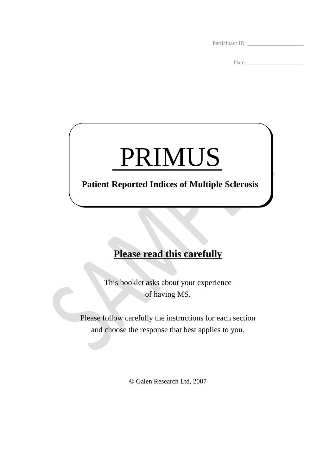Participant ID:

Date: \_\_\_\_\_\_\_\_\_\_\_\_\_\_\_\_\_\_\_\_

## PRIMUS

## **Patient Reported Indices of Multiple Sclerosis**

## **Please read this carefully**

This booklet asks about your experience of having MS.

Please follow carefully the instructions for each section and choose the response that best applies to you.

© Galen Research Ltd, 2007